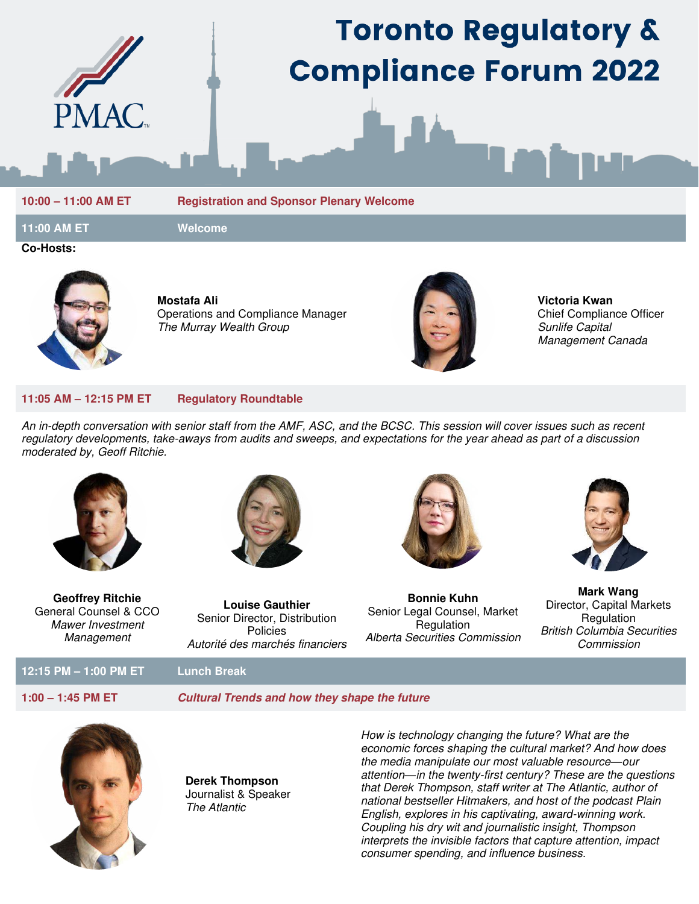

# **Toronto Regulatory & Compliance Forum 2022**

**10:00 – 11:00 AM ET Registration and Sponsor Plenary Welcome** 

**11:00 AM ET Welcome** 

**Co-Hosts:** 



**Mostafa Ali**  Operations and Compliance Manager The Murray Wealth Group



**Victoria Kwan**  Chief Compliance Officer Sunlife Capital Management Canada

### **11:05 AM – 12:15 PM ET Regulatory Roundtable**

An in-depth conversation with senior staff from the AMF, ASC, and the BCSC. This session will cover issues such as recent regulatory developments, take-aways from audits and sweeps, and expectations for the year ahead as part of a discussion moderated by, Geoff Ritchie.



**Geoffrey Ritchie**  General Counsel & CCO Mawer Investment Management



**Louise Gauthier**  Senior Director, Distribution Policies Autorité des marchés financiers



**Bonnie Kuhn**  Senior Legal Counsel, Market **Regulation** Alberta Securities Commission



**Mark Wang**  Director, Capital Markets **Regulation** British Columbia Securities Commission

# **12:15 PM – 1:00 PM ET Lunch Break**

## **1:00 – 1:45 PM ET Cultural Trends and how they shape the future**



**Derek Thompson**  Journalist & Speaker The Atlantic

How is technology changing the future? What are the economic forces shaping the cultural market? And how does the media manipulate our most valuable resource*—*our attention*—*in the twenty-first century? These are the questions that Derek Thompson, staff writer at The Atlantic, author of national bestseller Hitmakers, and host of the podcast Plain English, explores in his captivating, award-winning work. Coupling his dry wit and journalistic insight, Thompson interprets the invisible factors that capture attention, impact consumer spending, and influence business.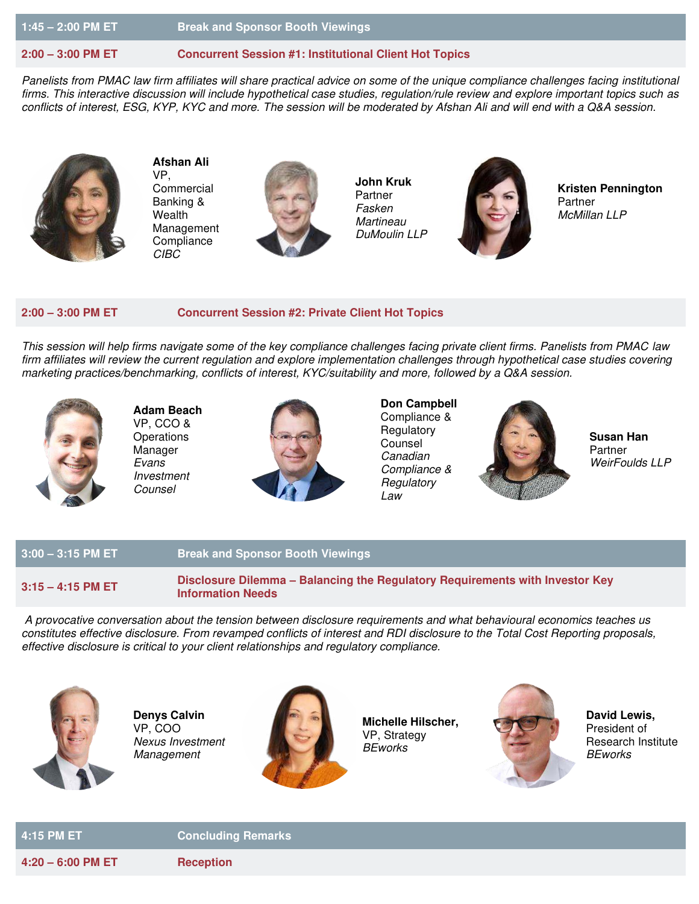**1:45 – 2:00 PM ET Break and Sponsor Booth Viewings** 

## **2:00 – 3:00 PM ET Concurrent Session #1: Institutional Client Hot Topics**

Panelists from PMAC law firm affiliates will share practical advice on some of the unique compliance challenges facing institutional firms. This interactive discussion will include hypothetical case studies, regulation/rule review and explore important topics such as conflicts of interest, ESG, KYP, KYC and more. The session will be moderated by Afshan Ali and will end with a Q&A session.



**Afshan Ali**  VP, **Commercial** Banking & Wealth Management **Compliance** CIBC



**John Kruk**  Partner Fasken **Martineau** DuMoulin LLP



**Kristen Pennington**  Partner McMillan LLP

### **2:00 – 3:00 PM ET Concurrent Session #2: Private Client Hot Topics**

This session will help firms navigate some of the key compliance challenges facing private client firms. Panelists from PMAC law firm affiliates will review the current regulation and explore implementation challenges through hypothetical case studies covering marketing practices/benchmarking, conflicts of interest, KYC/suitability and more, followed by a Q&A session.



**Adam Beach**  VP, CCO & **Operations** Manager Evans Investment Counsel



**Don Campbell**  Compliance & **Regulatory** Counsel Canadian Compliance & **Regulatory** Law



**Susan Han**  Partner WeirFoulds LLP

# **3:00 – 3:15 PM ET Break and Sponsor Booth Viewings**

**3:15 – 4:15 PM ET Disclosure Dilemma – Balancing the Regulatory Requirements with Investor Key Information Needs** 

 A provocative conversation about the tension between disclosure requirements and what behavioural economics teaches us constitutes effective disclosure. From revamped conflicts of interest and RDI disclosure to the Total Cost Reporting proposals, effective disclosure is critical to your client relationships and regulatory compliance.



**Denys Calvin**  VP, COO Nexus Investment **Management** 



**Michelle Hilscher,**  VP, Strategy **BEworks** 



**David Lewis,**  President of Research Institute **BEworks** 

**4:15 PM ET Concluding Remarks** 

**4:20 – 6:00 PM ET Reception**